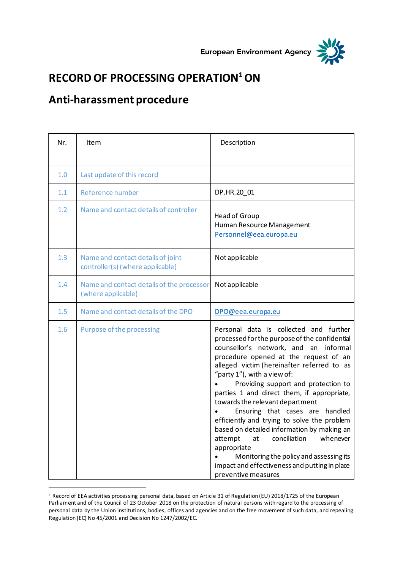



## **RECORD OF PROCESSING OPERATION<sup>1</sup>ON**

## **Anti-harassment procedure**

| Nr. | <b>Item</b>                                                           | Description                                                                                                                                                                                                                                                                                                                                                                                                                                                                                                                                                                                                                                                                                         |
|-----|-----------------------------------------------------------------------|-----------------------------------------------------------------------------------------------------------------------------------------------------------------------------------------------------------------------------------------------------------------------------------------------------------------------------------------------------------------------------------------------------------------------------------------------------------------------------------------------------------------------------------------------------------------------------------------------------------------------------------------------------------------------------------------------------|
|     |                                                                       |                                                                                                                                                                                                                                                                                                                                                                                                                                                                                                                                                                                                                                                                                                     |
| 1.0 | Last update of this record                                            |                                                                                                                                                                                                                                                                                                                                                                                                                                                                                                                                                                                                                                                                                                     |
| 1.1 | Reference number                                                      | DP.HR.20_01                                                                                                                                                                                                                                                                                                                                                                                                                                                                                                                                                                                                                                                                                         |
| 1.2 | Name and contact details of controller                                | <b>Head of Group</b><br>Human Resource Management<br>Personnel@eea.europa.eu                                                                                                                                                                                                                                                                                                                                                                                                                                                                                                                                                                                                                        |
| 1.3 | Name and contact details of joint<br>controller(s) (where applicable) | Not applicable                                                                                                                                                                                                                                                                                                                                                                                                                                                                                                                                                                                                                                                                                      |
| 1.4 | Name and contact details of the processor<br>(where applicable)       | Not applicable                                                                                                                                                                                                                                                                                                                                                                                                                                                                                                                                                                                                                                                                                      |
| 1.5 | Name and contact details of the DPO                                   | DPO@eea.europa.eu                                                                                                                                                                                                                                                                                                                                                                                                                                                                                                                                                                                                                                                                                   |
| 1.6 | Purpose of the processing                                             | Personal data is collected and further<br>processed for the purpose of the confidential<br>counsellor's network, and an<br>informal<br>procedure opened at the request of an<br>alleged victim (hereinafter referred to as<br>"party $1$ "), with a view of:<br>Providing support and protection to<br>parties 1 and direct them, if appropriate,<br>towards the relevant department<br>Ensuring that cases are handled<br>efficiently and trying to solve the problem<br>based on detailed information by making an<br>conciliation<br>attempt<br>whenever<br>at<br>appropriate<br>Monitoring the policy and assessing its<br>impact and effectiveness and putting in place<br>preventive measures |

<sup>1</sup> Record of EEA activities processing personal data, based on Article 31 of Regulation (EU) 2018/1725 of the European Parliament and of the Council of 23 October 2018 on the protection of natural persons with regard to the processing of personal data by the Union institutions, bodies, offices and agencies and on the free movement of such data, and repealing Regulation (EC) No 45/2001 and Decision No 1247/2002/EC.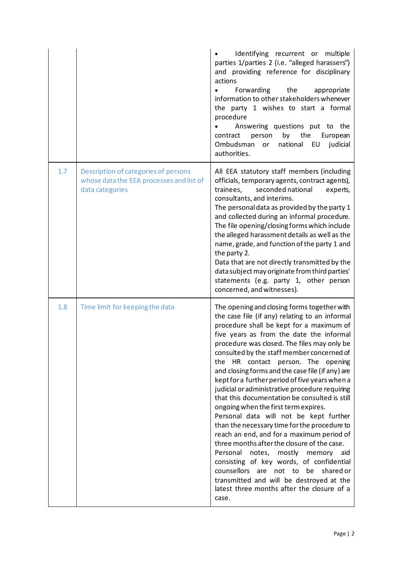|     |                                                                                                     | Identifying recurrent or multiple<br>parties 1/parties 2 (i.e. "alleged harassers")<br>and providing reference for disciplinary<br>actions<br>Forwarding<br>the<br>appropriate<br>information to other stakeholders whenever<br>the party 1 wishes to start a formal<br>procedure<br>Answering questions put to the<br>by<br>the<br>contract<br>person<br>European<br>Ombudsman<br>national<br>EU<br>judicial<br>or<br>authorities.                                                                                                                                                                                                                                                                                                                                                                                                                                                                                                                                                                 |
|-----|-----------------------------------------------------------------------------------------------------|-----------------------------------------------------------------------------------------------------------------------------------------------------------------------------------------------------------------------------------------------------------------------------------------------------------------------------------------------------------------------------------------------------------------------------------------------------------------------------------------------------------------------------------------------------------------------------------------------------------------------------------------------------------------------------------------------------------------------------------------------------------------------------------------------------------------------------------------------------------------------------------------------------------------------------------------------------------------------------------------------------|
| 1.7 | Description of categories of persons<br>whose data the EEA processes and list of<br>data categories | All EEA statutory staff members (including<br>officials, temporary agents, contract agents),<br>trainees,<br>seconded national<br>experts,<br>consultants, and interims.<br>The personal data as provided by the party 1<br>and collected during an informal procedure.<br>The file opening/closing forms which include<br>the alleged harassment details as well as the<br>name, grade, and function of the party 1 and<br>the party 2.<br>Data that are not directly transmitted by the<br>data subject may originate from third parties'<br>statements (e.g. party 1, other person<br>concerned, and witnesses).                                                                                                                                                                                                                                                                                                                                                                                 |
| 1.8 | Time limit for keeping the data                                                                     | The opening and closing forms together with<br>the case file (if any) relating to an informal<br>procedure shall be kept for a maximum of<br>five years as from the date the informal<br>procedure was closed. The files may only be<br>consulted by the staff member concerned of<br>the HR contact person. The opening<br>and closing forms and the case file (if any) are<br>kept for a further period of five years when a<br>judicial or administrative procedure requiring<br>that this documentation be consulted is still<br>ongoing when the first term expires.<br>Personal data will not be kept further<br>than the necessary time for the procedure to<br>reach an end, and for a maximum period of<br>three months after the closure of the case.<br>Personal<br>notes, mostly memory<br>aid<br>consisting of key words, of confidential<br>counsellors are not to be<br>shared or<br>transmitted and will be destroyed at the<br>latest three months after the closure of a<br>case. |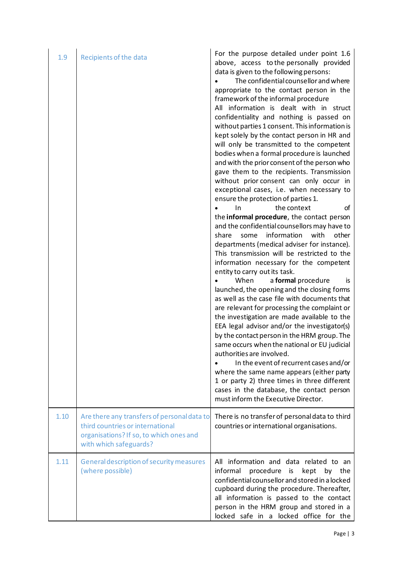| 1.9  | Recipients of the data                                                                                                                               | For the purpose detailed under point 1.6<br>above, access to the personally provided<br>data is given to the following persons:<br>The confidential counsellor and where<br>appropriate to the contact person in the<br>framework of the informal procedure<br>All information is dealt with in struct<br>confidentiality and nothing is passed on<br>without parties 1 consent. This information is<br>kept solely by the contact person in HR and<br>will only be transmitted to the competent<br>bodies when a formal procedure is launched<br>and with the prior consent of the person who<br>gave them to the recipients. Transmission<br>without prior consent can only occur in<br>exceptional cases, i.e. when necessary to<br>ensure the protection of parties 1.<br>the context<br>In<br>οf<br>the informal procedure, the contact person<br>and the confidential counsellors may have to<br>information<br>with<br>other<br>share<br>some<br>departments (medical adviser for instance).<br>This transmission will be restricted to the<br>information necessary for the competent<br>entity to carry out its task.<br>When<br>a formal procedure<br>is<br>launched, the opening and the closing forms<br>as well as the case file with documents that<br>are relevant for processing the complaint or<br>the investigation are made available to the<br>EEA legal advisor and/or the investigator(s)<br>by the contact person in the HRM group. The<br>same occurs when the national or EU judicial<br>authorities are involved.<br>In the event of recurrent cases and/or<br>where the same name appears (either party<br>1 or party 2) three times in three different<br>cases in the database, the contact person<br>must inform the Executive Director. |
|------|------------------------------------------------------------------------------------------------------------------------------------------------------|-------------------------------------------------------------------------------------------------------------------------------------------------------------------------------------------------------------------------------------------------------------------------------------------------------------------------------------------------------------------------------------------------------------------------------------------------------------------------------------------------------------------------------------------------------------------------------------------------------------------------------------------------------------------------------------------------------------------------------------------------------------------------------------------------------------------------------------------------------------------------------------------------------------------------------------------------------------------------------------------------------------------------------------------------------------------------------------------------------------------------------------------------------------------------------------------------------------------------------------------------------------------------------------------------------------------------------------------------------------------------------------------------------------------------------------------------------------------------------------------------------------------------------------------------------------------------------------------------------------------------------------------------------------------------------------------------------------------------------------------------------------------------|
| 1.10 | Are there any transfers of personal data to<br>third countries or international<br>organisations? If so, to which ones and<br>with which safeguards? | There is no transfer of personal data to third<br>countries or international organisations.                                                                                                                                                                                                                                                                                                                                                                                                                                                                                                                                                                                                                                                                                                                                                                                                                                                                                                                                                                                                                                                                                                                                                                                                                                                                                                                                                                                                                                                                                                                                                                                                                                                                             |
| 1.11 | General description of security measures<br>(where possible)                                                                                         | All information and data related to an<br>informal<br>procedure<br>kept<br>by the<br>is<br>confidential counsellor and stored in a locked<br>cupboard during the procedure. Thereafter,<br>all information is passed to the contact<br>person in the HRM group and stored in a<br>locked safe in a locked office for the                                                                                                                                                                                                                                                                                                                                                                                                                                                                                                                                                                                                                                                                                                                                                                                                                                                                                                                                                                                                                                                                                                                                                                                                                                                                                                                                                                                                                                                |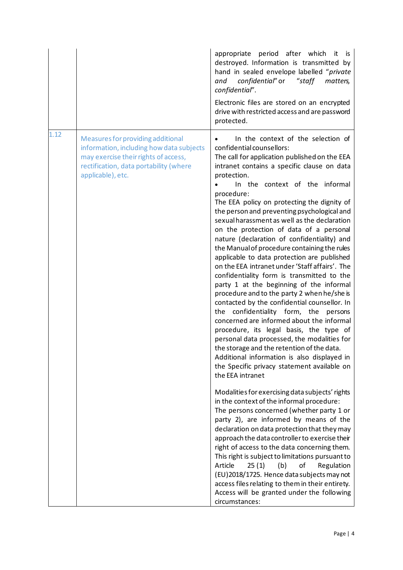|      |                                                                                                                                                                                      | appropriate period after which<br>it.<br>is.<br>destroyed. Information is transmitted by<br>hand in sealed envelope labelled "private<br>confidential" or<br>"staff<br>and<br>matters,<br>confidential".<br>Electronic files are stored on an encrypted<br>drive with restricted access and are password<br>protected.                                                                                                                                                                                                                                                                                                                                                                                                                                                                                                                                                                                                                                                                                                                                                                                                                                                                                                                                                                                                                                                                                                                                                                                                                                                                                                                                                                                                                                                         |
|------|--------------------------------------------------------------------------------------------------------------------------------------------------------------------------------------|--------------------------------------------------------------------------------------------------------------------------------------------------------------------------------------------------------------------------------------------------------------------------------------------------------------------------------------------------------------------------------------------------------------------------------------------------------------------------------------------------------------------------------------------------------------------------------------------------------------------------------------------------------------------------------------------------------------------------------------------------------------------------------------------------------------------------------------------------------------------------------------------------------------------------------------------------------------------------------------------------------------------------------------------------------------------------------------------------------------------------------------------------------------------------------------------------------------------------------------------------------------------------------------------------------------------------------------------------------------------------------------------------------------------------------------------------------------------------------------------------------------------------------------------------------------------------------------------------------------------------------------------------------------------------------------------------------------------------------------------------------------------------------|
| 1.12 | Measures for providing additional<br>information, including how data subjects<br>may exercise their rights of access,<br>rectification, data portability (where<br>applicable), etc. | In the context of the selection of<br>confidential counsellors:<br>The call for application published on the EEA<br>intranet contains a specific clause on data<br>protection.<br>In the context of the informal<br>procedure:<br>The EEA policy on protecting the dignity of<br>the person and preventing psychological and<br>sexual harassment as well as the declaration<br>on the protection of data of a personal<br>nature (declaration of confidentiality) and<br>the Manual of procedure containing the rules<br>applicable to data protection are published<br>on the EEA intranet under 'Staff affairs'. The<br>confidentiality form is transmitted to the<br>party 1 at the beginning of the informal<br>procedure and to the party 2 when he/she is<br>contacted by the confidential counsellor. In<br>the confidentiality form, the persons<br>concerned are informed about the informal<br>procedure, its legal basis, the type of<br>personal data processed, the modalities for<br>the storage and the retention of the data.<br>Additional information is also displayed in<br>the Specific privacy statement available on<br>the EEA intranet<br>Modalities for exercising data subjects' rights<br>in the context of the informal procedure:<br>The persons concerned (whether party 1 or<br>party 2), are informed by means of the<br>declaration on data protection that they may<br>approach the data controller to exercise their<br>right of access to the data concerning them.<br>This right is subject to limitations pursuant to<br>Article<br>25(1)<br>(b)<br>οf<br>Regulation<br>(EU)2018/1725. Hence data subjects may not<br>access files relating to them in their entirety.<br>Access will be granted under the following<br>circumstances: |